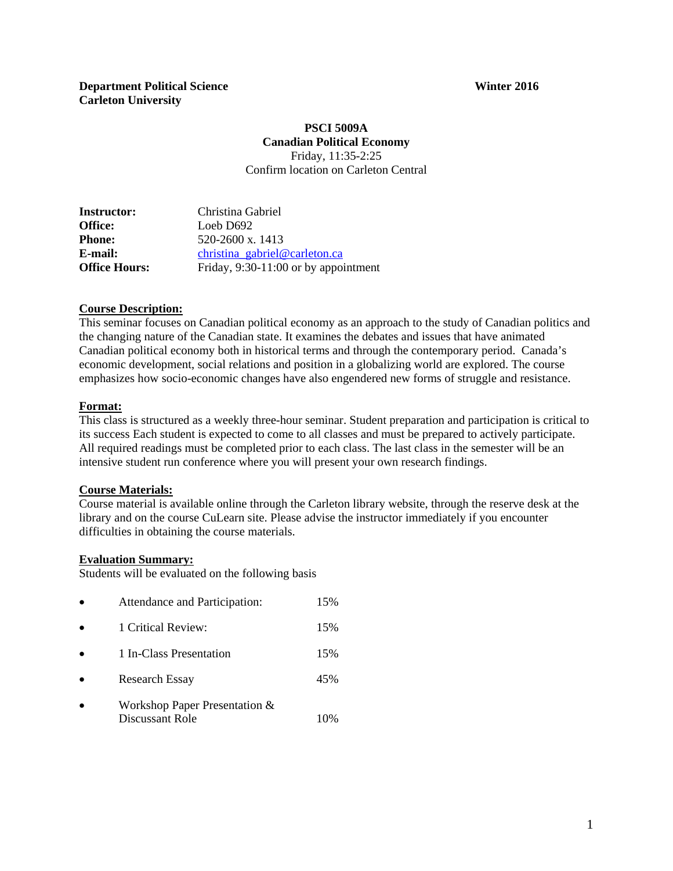#### **PSCI 5009A Canadian Political Economy**  Friday, 11:35-2:25

Confirm location on Carleton Central

| <b>Instructor:</b>   | Christina Gabriel                      |
|----------------------|----------------------------------------|
| Office:              | Loeb D692                              |
| <b>Phone:</b>        | $520-2600 \text{ x}$ , 1413            |
| <b>E-mail:</b>       | christina_gabriel@carleton.ca          |
| <b>Office Hours:</b> | Friday, $9:30-11:00$ or by appointment |

#### **Course Description:**

This seminar focuses on Canadian political economy as an approach to the study of Canadian politics and the changing nature of the Canadian state. It examines the debates and issues that have animated Canadian political economy both in historical terms and through the contemporary period. Canada's economic development, social relations and position in a globalizing world are explored. The course emphasizes how socio-economic changes have also engendered new forms of struggle and resistance.

#### **Format:**

This class is structured as a weekly three-hour seminar. Student preparation and participation is critical to its success Each student is expected to come to all classes and must be prepared to actively participate. All required readings must be completed prior to each class. The last class in the semester will be an intensive student run conference where you will present your own research findings.

#### **Course Materials:**

Course material is available online through the Carleton library website, through the reserve desk at the library and on the course CuLearn site. Please advise the instructor immediately if you encounter difficulties in obtaining the course materials.

#### **Evaluation Summary:**

Students will be evaluated on the following basis

|           | Attendance and Participation:                    | 15% |
|-----------|--------------------------------------------------|-----|
| $\bullet$ | 1 Critical Review:                               | 15% |
| $\bullet$ | 1 In-Class Presentation                          | 15% |
|           | <b>Research Essay</b>                            | 45% |
|           | Workshop Paper Presentation &<br>Discussant Role |     |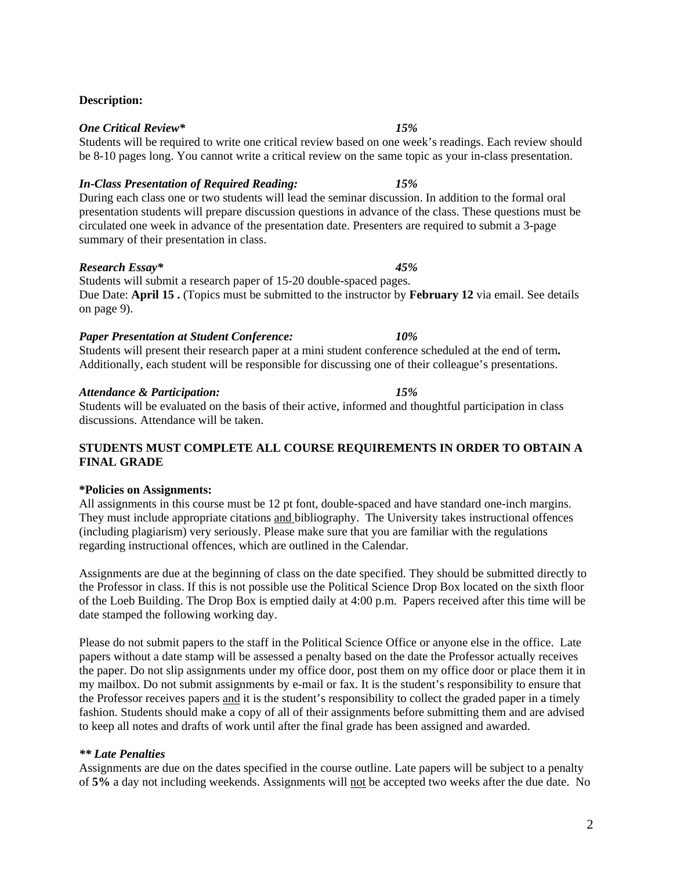# **Description:**

## *One Critical Review\* 15%*

Students will be required to write one critical review based on one week's readings. Each review should be 8-10 pages long. You cannot write a critical review on the same topic as your in-class presentation.

## *In-Class Presentation of Required Reading: 15%*

During each class one or two students will lead the seminar discussion. In addition to the formal oral presentation students will prepare discussion questions in advance of the class. These questions must be circulated one week in advance of the presentation date. Presenters are required to submit a 3-page summary of their presentation in class.

## *Research Essay\* 45%*

Students will submit a research paper of 15-20 double-spaced pages. Due Date: **April 15 .** (Topics must be submitted to the instructor by **February 12** via email. See details on page 9).

## *Paper Presentation at Student Conference: 10%*

Students will present their research paper at a mini student conference scheduled at the end of term**.**  Additionally, each student will be responsible for discussing one of their colleague's presentations.

## *Attendance & Participation: 15%*

Students will be evaluated on the basis of their active, informed and thoughtful participation in class discussions. Attendance will be taken.

## **STUDENTS MUST COMPLETE ALL COURSE REQUIREMENTS IN ORDER TO OBTAIN A FINAL GRADE**

#### **\*Policies on Assignments:**

All assignments in this course must be 12 pt font, double-spaced and have standard one-inch margins. They must include appropriate citations and bibliography. The University takes instructional offences (including plagiarism) very seriously. Please make sure that you are familiar with the regulations regarding instructional offences, which are outlined in the Calendar.

Assignments are due at the beginning of class on the date specified. They should be submitted directly to the Professor in class. If this is not possible use the Political Science Drop Box located on the sixth floor of the Loeb Building. The Drop Box is emptied daily at 4:00 p.m. Papers received after this time will be date stamped the following working day.

Please do not submit papers to the staff in the Political Science Office or anyone else in the office. Late papers without a date stamp will be assessed a penalty based on the date the Professor actually receives the paper. Do not slip assignments under my office door, post them on my office door or place them it in my mailbox. Do not submit assignments by e-mail or fax. It is the student's responsibility to ensure that the Professor receives papers and it is the student's responsibility to collect the graded paper in a timely fashion. Students should make a copy of all of their assignments before submitting them and are advised to keep all notes and drafts of work until after the final grade has been assigned and awarded.

## *\*\* Late Penalties*

Assignments are due on the dates specified in the course outline. Late papers will be subject to a penalty of **5%** a day not including weekends. Assignments will not be accepted two weeks after the due date. No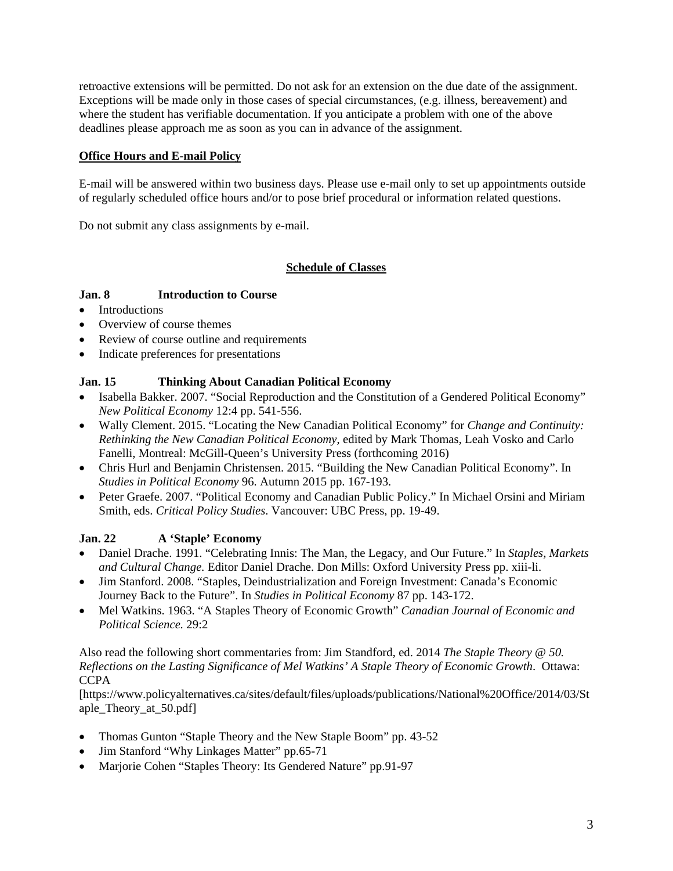retroactive extensions will be permitted. Do not ask for an extension on the due date of the assignment. Exceptions will be made only in those cases of special circumstances, (e.g. illness, bereavement) and where the student has verifiable documentation. If you anticipate a problem with one of the above deadlines please approach me as soon as you can in advance of the assignment.

## **Office Hours and E-mail Policy**

E-mail will be answered within two business days. Please use e-mail only to set up appointments outside of regularly scheduled office hours and/or to pose brief procedural or information related questions.

Do not submit any class assignments by e-mail.

## **Schedule of Classes**

## **Jan. 8 Introduction to Course**

- Introductions
- Overview of course themes
- Review of course outline and requirements
- Indicate preferences for presentations

## **Jan. 15 Thinking About Canadian Political Economy**

- Isabella Bakker. 2007. "Social Reproduction and the Constitution of a Gendered Political Economy" *New Political Economy* 12:4 pp. 541-556.
- Wally Clement. 2015. "Locating the New Canadian Political Economy" for *Change and Continuity: Rethinking the New Canadian Political Economy*, edited by Mark Thomas, Leah Vosko and Carlo Fanelli, Montreal: McGill-Queen's University Press (forthcoming 2016)
- Chris Hurl and Benjamin Christensen. 2015. "Building the New Canadian Political Economy". In *Studies in Political Economy* 96. Autumn 2015 pp. 167-193.
- Peter Graefe. 2007. "Political Economy and Canadian Public Policy." In Michael Orsini and Miriam Smith, eds. *Critical Policy Studies*. Vancouver: UBC Press, pp. 19-49.

## **Jan. 22 A 'Staple' Economy**

- Daniel Drache. 1991. "Celebrating Innis: The Man, the Legacy, and Our Future." In *Staples, Markets and Cultural Change.* Editor Daniel Drache. Don Mills: Oxford University Press pp. xiii-li.
- Jim Stanford. 2008. "Staples, Deindustrialization and Foreign Investment: Canada's Economic Journey Back to the Future". In *Studies in Political Economy* 87 pp. 143-172.
- Mel Watkins. 1963. "A Staples Theory of Economic Growth" *Canadian Journal of Economic and Political Science.* 29:2

#### Also read the following short commentaries from: Jim Standford, ed. 2014 *The Staple Theory @ 50. Reflections on the Lasting Significance of Mel Watkins' A Staple Theory of Economic Growth*. Ottawa: **CCPA**

[https://www.policyalternatives.ca/sites/default/files/uploads/publications/National%20Office/2014/03/St aple Theory at 50.pdf]

- Thomas Gunton "Staple Theory and the New Staple Boom" pp. 43-52
- Jim Stanford "Why Linkages Matter" pp.65-71
- Marjorie Cohen "Staples Theory: Its Gendered Nature" pp.91-97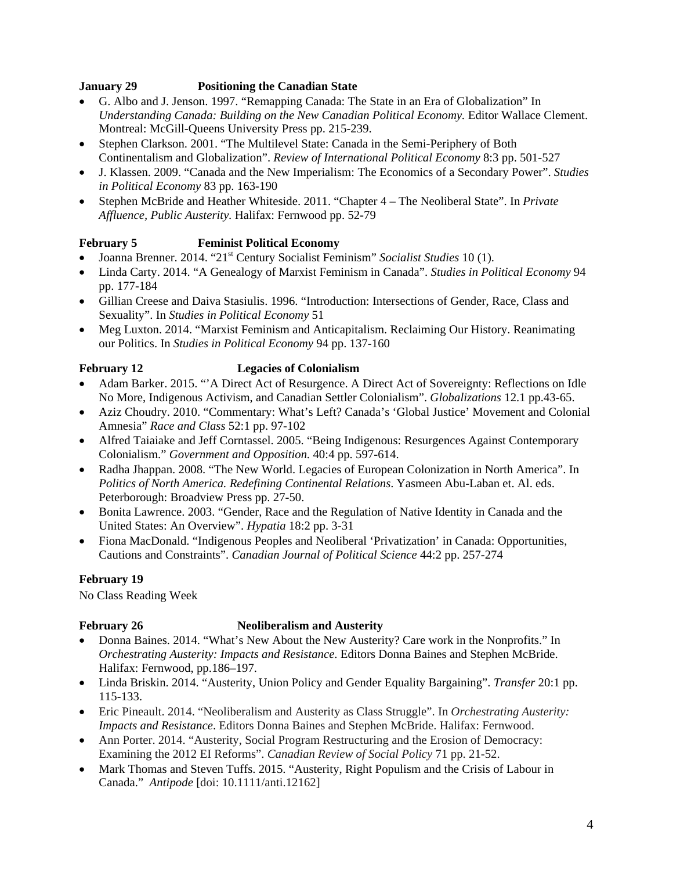## **January 29 Positioning the Canadian State**

- G. Albo and J. Jenson. 1997. "Remapping Canada: The State in an Era of Globalization" In Understanding Canada: Building on the New Canadian Political Economy. Editor Wallace Clement. Montreal: McGill-Queens University Press pp. 215-239.
- Stephen Clarkson. 2001. "The Multilevel State: Canada in the Semi-Periphery of Both Continentalism and Globalization". *Review of International Political Economy* 8:3 pp. 501-527
- J. Klassen. 2009. "Canada and the New Imperialism: The Economics of a Secondary Power". *Studies in Political Economy* 83 pp. 163-190
- Stephen McBride and Heather Whiteside. 2011. "Chapter 4 The Neoliberal State". In *Private Affluence, Public Austerity.* Halifax: Fernwood pp. 52-79

# **February 5 Feminist Political Economy**

- Joanna Brenner. 2014. "21st Century Socialist Feminism" *Socialist Studies* 10 (1).
- Linda Carty. 2014. "A Genealogy of Marxist Feminism in Canada". *Studies in Political Economy* 94 pp. 177-184
- Gillian Creese and Daiva Stasiulis. 1996. "Introduction: Intersections of Gender, Race, Class and Sexuality". In *Studies in Political Economy* 51
- Meg Luxton. 2014. "Marxist Feminism and Anticapitalism. Reclaiming Our History. Reanimating our Politics. In *Studies in Political Economy* 94 pp. 137-160

# **February 12 Legacies of Colonialism**

- Adam Barker. 2015. "'A Direct Act of Resurgence. A Direct Act of Sovereignty: Reflections on Idle No More, Indigenous Activism, and Canadian Settler Colonialism". *Globalizations* 12.1 pp.43-65.
- Aziz Choudry. 2010. "Commentary: What's Left? Canada's 'Global Justice' Movement and Colonial Amnesia" *Race and Class* 52:1 pp. 97-102
- Alfred Taiaiake and Jeff Corntassel. 2005. "Being Indigenous: Resurgences Against Contemporary Colonialism." *Government and Opposition.* 40:4 pp. 597-614.
- Radha Jhappan. 2008. "The New World. Legacies of European Colonization in North America". In *Politics of North America. Redefining Continental Relations*. Yasmeen Abu-Laban et. Al. eds. Peterborough: Broadview Press pp. 27-50.
- Bonita Lawrence. 2003. "Gender, Race and the Regulation of Native Identity in Canada and the United States: An Overview". *Hypatia* 18:2 pp. 3-31
- Fiona MacDonald. "Indigenous Peoples and Neoliberal 'Privatization' in Canada: Opportunities, Cautions and Constraints". *Canadian Journal of Political Science* 44:2 pp. 257-274

## **February 19**

No Class Reading Week

## **February 26** Neoliberalism and Austerity

- Donna Baines. 2014. "What's New About the New Austerity? Care work in the Nonprofits." In *Orchestrating Austerity: Impacts and Resistance*. Editors Donna Baines and Stephen McBride. Halifax: Fernwood, pp.186–197.
- Linda Briskin. 2014. "Austerity, Union Policy and Gender Equality Bargaining". *Transfer* 20:1 pp. 115-133.
- Eric Pineault. 2014. "Neoliberalism and Austerity as Class Struggle". In *Orchestrating Austerity: Impacts and Resistance*. Editors Donna Baines and Stephen McBride. Halifax: Fernwood.
- Ann Porter. 2014. "Austerity, Social Program Restructuring and the Erosion of Democracy: Examining the 2012 EI Reforms". *Canadian Review of Social Policy* 71 pp. 21-52.
- Mark Thomas and Steven Tuffs. 2015. "Austerity, Right Populism and the Crisis of Labour in Canada." *Antipode* [doi: 10.1111/anti.12162]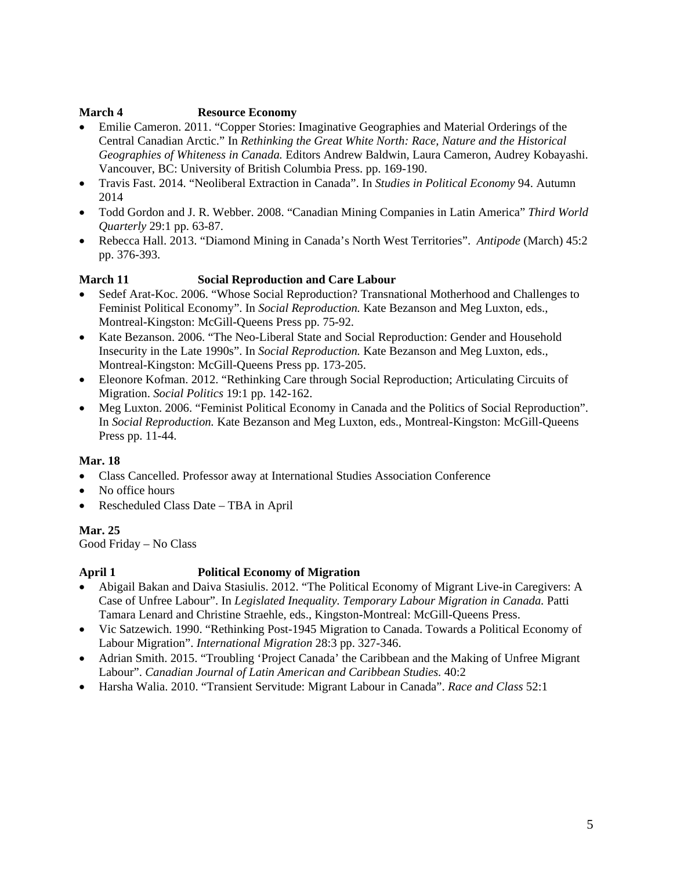## **March 4 Resource Economy**

- Emilie Cameron. 2011. "Copper Stories: Imaginative Geographies and Material Orderings of the Central Canadian Arctic." In *Rethinking the Great White North: Race, Nature and the Historical Geographies of Whiteness in Canada.* Editors Andrew Baldwin, Laura Cameron, Audrey Kobayashi. Vancouver, BC: University of British Columbia Press. pp. 169-190.
- Travis Fast. 2014. "Neoliberal Extraction in Canada". In *Studies in Political Economy* 94. Autumn 2014
- Todd Gordon and J. R. Webber. 2008. "Canadian Mining Companies in Latin America" *Third World Quarterly* 29:1 pp. 63-87.
- Rebecca Hall. 2013. "Diamond Mining in Canada's North West Territories". *Antipode* (March) 45:2 pp. 376-393.

# **March 11 Social Reproduction and Care Labour**

- Sedef Arat-Koc. 2006. "Whose Social Reproduction? Transnational Motherhood and Challenges to Feminist Political Economy". In *Social Reproduction.* Kate Bezanson and Meg Luxton, eds., Montreal-Kingston: McGill-Queens Press pp. 75-92.
- Kate Bezanson. 2006. "The Neo-Liberal State and Social Reproduction: Gender and Household Insecurity in the Late 1990s". In *Social Reproduction.* Kate Bezanson and Meg Luxton, eds., Montreal-Kingston: McGill-Queens Press pp. 173-205.
- Eleonore Kofman. 2012. "Rethinking Care through Social Reproduction; Articulating Circuits of Migration. *Social Politics* 19:1 pp. 142-162.
- Meg Luxton. 2006. "Feminist Political Economy in Canada and the Politics of Social Reproduction". In *Social Reproduction.* Kate Bezanson and Meg Luxton, eds., Montreal-Kingston: McGill-Queens Press pp. 11-44.

## **Mar. 18**

- Class Cancelled. Professor away at International Studies Association Conference
- No office hours
- Rescheduled Class Date TBA in April

## **Mar. 25**

Good Friday – No Class

# **April 1 Political Economy of Migration**

- Abigail Bakan and Daiva Stasiulis. 2012. "The Political Economy of Migrant Live-in Caregivers: A Case of Unfree Labour". In *Legislated Inequality. Temporary Labour Migration in Canada.* Patti Tamara Lenard and Christine Straehle, eds., Kingston-Montreal: McGill-Queens Press.
- Vic Satzewich. 1990. "Rethinking Post-1945 Migration to Canada. Towards a Political Economy of Labour Migration". *International Migration* 28:3 pp. 327-346.
- Adrian Smith. 2015. "Troubling 'Project Canada' the Caribbean and the Making of Unfree Migrant Labour". *Canadian Journal of Latin American and Caribbean Studies.* 40:2
- Harsha Walia. 2010. "Transient Servitude: Migrant Labour in Canada". *Race and Class* 52:1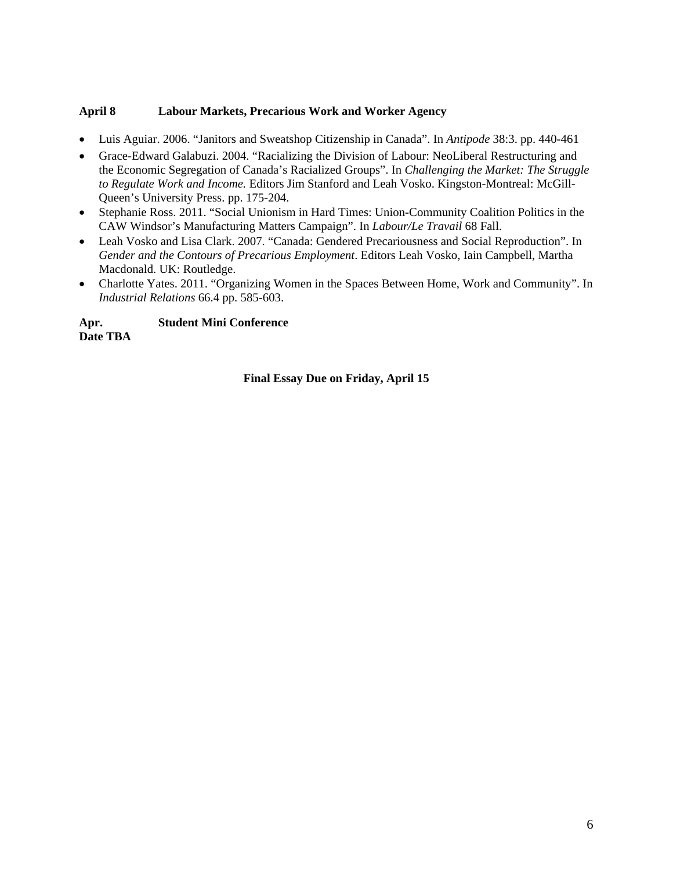## **April 8 Labour Markets, Precarious Work and Worker Agency**

- Luis Aguiar. 2006. "Janitors and Sweatshop Citizenship in Canada". In *Antipode* 38:3. pp. 440-461
- Grace-Edward Galabuzi. 2004. "Racializing the Division of Labour: NeoLiberal Restructuring and the Economic Segregation of Canada's Racialized Groups". In *Challenging the Market: The Struggle to Regulate Work and Income.* Editors Jim Stanford and Leah Vosko. Kingston-Montreal: McGill-Queen's University Press. pp. 175-204.
- Stephanie Ross. 2011. "Social Unionism in Hard Times: Union-Community Coalition Politics in the CAW Windsor's Manufacturing Matters Campaign". In *Labour/Le Travail* 68 Fall.
- Leah Vosko and Lisa Clark. 2007. "Canada: Gendered Precariousness and Social Reproduction". In *Gender and the Contours of Precarious Employment*. Editors Leah Vosko, Iain Campbell, Martha Macdonald. UK: Routledge.
- Charlotte Yates. 2011. "Organizing Women in the Spaces Between Home, Work and Community". In *Industrial Relations* 66.4 pp. 585-603.

**Apr. Student Mini Conference Date TBA** 

## **Final Essay Due on Friday, April 15**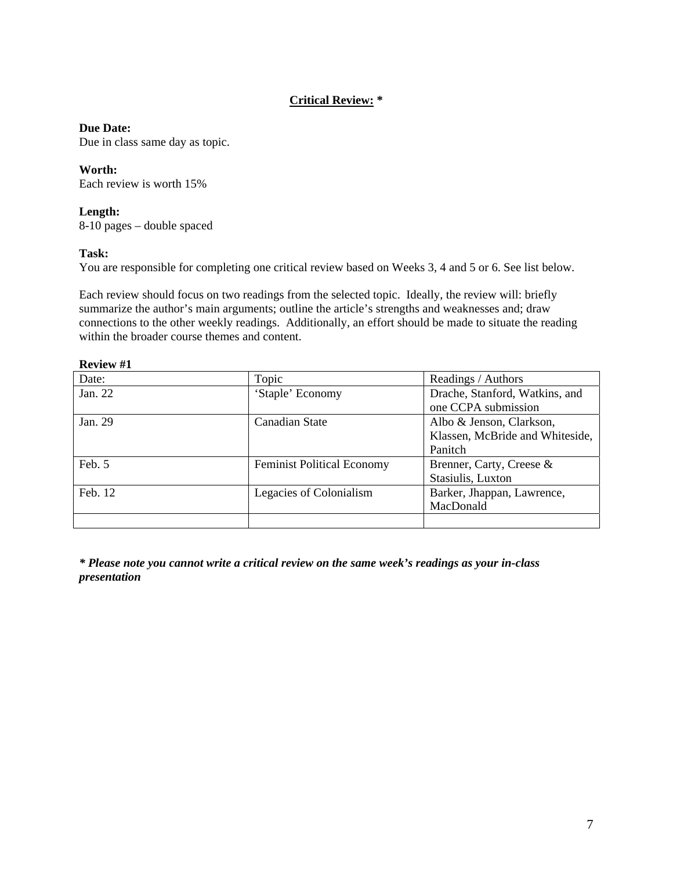# **Critical Review: \***

## **Due Date:**

Due in class same day as topic.

## **Worth:**

Each review is worth 15%

## **Length:**

8-10 pages – double spaced

## **Task:**

You are responsible for completing one critical review based on Weeks 3, 4 and 5 or 6. See list below.

Each review should focus on two readings from the selected topic. Ideally, the review will: briefly summarize the author's main arguments; outline the article's strengths and weaknesses and; draw connections to the other weekly readings. Additionally, an effort should be made to situate the reading within the broader course themes and content.

## **Review #1**

| Date:   | Topic                             | Readings / Authors              |  |  |
|---------|-----------------------------------|---------------------------------|--|--|
| Jan. 22 | 'Staple' Economy                  | Drache, Stanford, Watkins, and  |  |  |
|         |                                   | one CCPA submission             |  |  |
| Jan. 29 | Canadian State                    | Albo & Jenson, Clarkson,        |  |  |
|         |                                   | Klassen, McBride and Whiteside, |  |  |
|         |                                   | Panitch                         |  |  |
| Feb. 5  | <b>Feminist Political Economy</b> | Brenner, Carty, Creese &        |  |  |
|         |                                   | Stasiulis, Luxton               |  |  |
| Feb. 12 | Legacies of Colonialism           | Barker, Jhappan, Lawrence,      |  |  |
|         |                                   | MacDonald                       |  |  |
|         |                                   |                                 |  |  |

*\* Please note you cannot write a critical review on the same week's readings as your in-class presentation*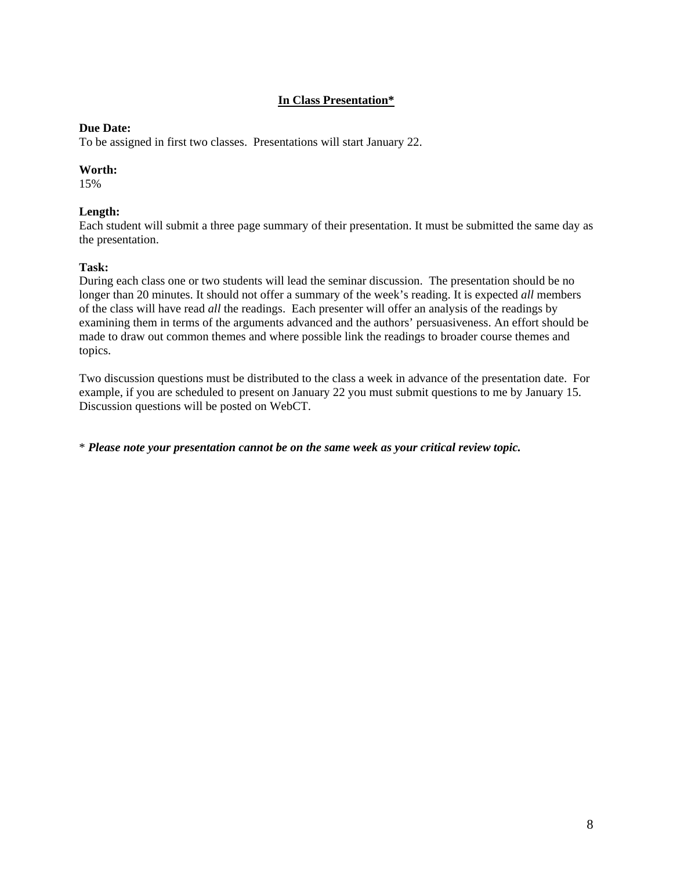## **In Class Presentation\***

#### **Due Date:**

To be assigned in first two classes. Presentations will start January 22.

#### **Worth:**

15%

#### **Length:**

Each student will submit a three page summary of their presentation. It must be submitted the same day as the presentation.

#### **Task:**

During each class one or two students will lead the seminar discussion. The presentation should be no longer than 20 minutes. It should not offer a summary of the week's reading. It is expected *all* members of the class will have read *all* the readings. Each presenter will offer an analysis of the readings by examining them in terms of the arguments advanced and the authors' persuasiveness. An effort should be made to draw out common themes and where possible link the readings to broader course themes and topics.

Two discussion questions must be distributed to the class a week in advance of the presentation date. For example, if you are scheduled to present on January 22 you must submit questions to me by January 15. Discussion questions will be posted on WebCT.

\* *Please note your presentation cannot be on the same week as your critical review topic.*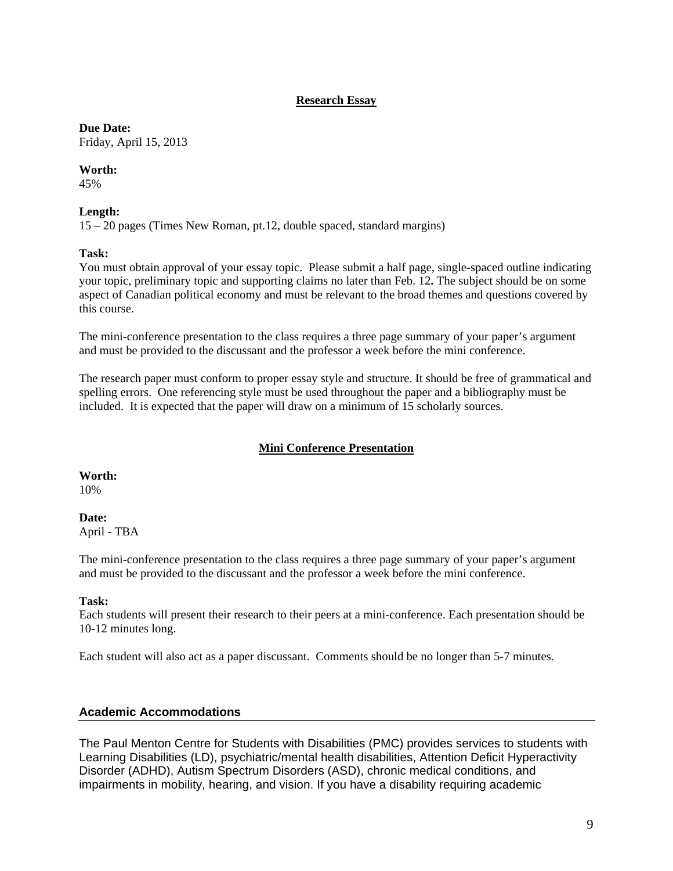## **Research Essay**

#### **Due Date:**

Friday, April 15, 2013

## **Worth:**

45%

## **Length:**

15 – 20 pages (Times New Roman, pt.12, double spaced, standard margins)

## **Task:**

You must obtain approval of your essay topic. Please submit a half page, single-spaced outline indicating your topic, preliminary topic and supporting claims no later than Feb. 12**.** The subject should be on some aspect of Canadian political economy and must be relevant to the broad themes and questions covered by this course.

The mini-conference presentation to the class requires a three page summary of your paper's argument and must be provided to the discussant and the professor a week before the mini conference.

The research paper must conform to proper essay style and structure. It should be free of grammatical and spelling errors. One referencing style must be used throughout the paper and a bibliography must be included. It is expected that the paper will draw on a minimum of 15 scholarly sources.

# **Mini Conference Presentation**

**Worth:** 

10%

# **Date:**

April - TBA

The mini-conference presentation to the class requires a three page summary of your paper's argument and must be provided to the discussant and the professor a week before the mini conference.

## **Task:**

Each students will present their research to their peers at a mini-conference. Each presentation should be 10-12 minutes long.

Each student will also act as a paper discussant. Comments should be no longer than 5-7 minutes.

## **Academic Accommodations**

The Paul Menton Centre for Students with Disabilities (PMC) provides services to students with Learning Disabilities (LD), psychiatric/mental health disabilities, Attention Deficit Hyperactivity Disorder (ADHD), Autism Spectrum Disorders (ASD), chronic medical conditions, and impairments in mobility, hearing, and vision. If you have a disability requiring academic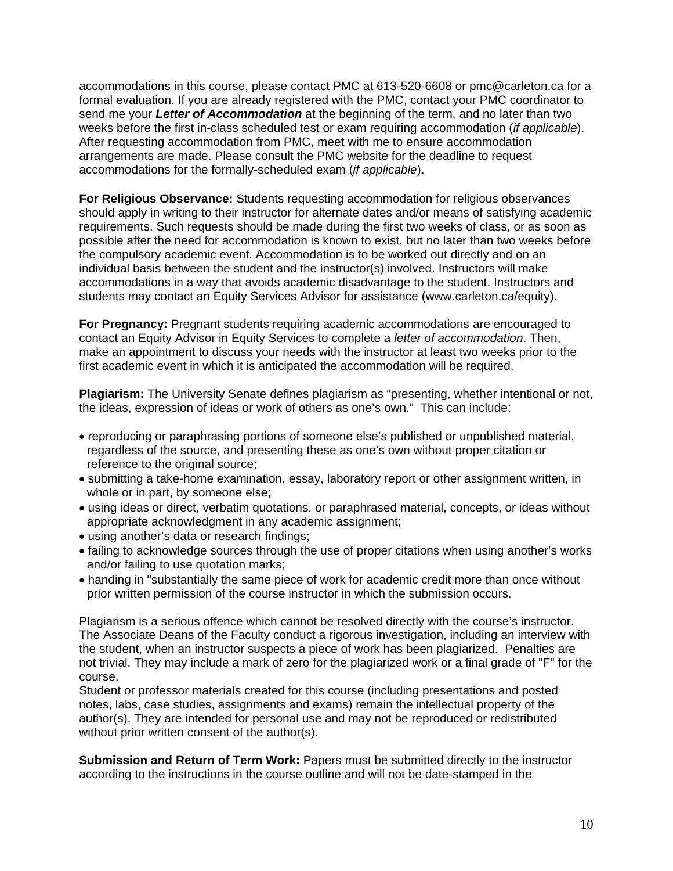accommodations in this course, please contact PMC at 613-520-6608 or pmc@carleton.ca for a formal evaluation. If you are already registered with the PMC, contact your PMC coordinator to send me your *Letter of Accommodation* at the beginning of the term, and no later than two weeks before the first in-class scheduled test or exam requiring accommodation (*if applicable*). After requesting accommodation from PMC, meet with me to ensure accommodation arrangements are made. Please consult the PMC website for the deadline to request accommodations for the formally-scheduled exam (*if applicable*).

**For Religious Observance:** Students requesting accommodation for religious observances should apply in writing to their instructor for alternate dates and/or means of satisfying academic requirements. Such requests should be made during the first two weeks of class, or as soon as possible after the need for accommodation is known to exist, but no later than two weeks before the compulsory academic event. Accommodation is to be worked out directly and on an individual basis between the student and the instructor(s) involved. Instructors will make accommodations in a way that avoids academic disadvantage to the student. Instructors and students may contact an Equity Services Advisor for assistance (www.carleton.ca/equity).

**For Pregnancy:** Pregnant students requiring academic accommodations are encouraged to contact an Equity Advisor in Equity Services to complete a *letter of accommodation*. Then, make an appointment to discuss your needs with the instructor at least two weeks prior to the first academic event in which it is anticipated the accommodation will be required.

**Plagiarism:** The University Senate defines plagiarism as "presenting, whether intentional or not, the ideas, expression of ideas or work of others as one's own." This can include:

- reproducing or paraphrasing portions of someone else's published or unpublished material, regardless of the source, and presenting these as one's own without proper citation or reference to the original source;
- submitting a take-home examination, essay, laboratory report or other assignment written, in whole or in part, by someone else;
- using ideas or direct, verbatim quotations, or paraphrased material, concepts, or ideas without appropriate acknowledgment in any academic assignment;
- using another's data or research findings;
- failing to acknowledge sources through the use of proper citations when using another's works and/or failing to use quotation marks;
- handing in "substantially the same piece of work for academic credit more than once without prior written permission of the course instructor in which the submission occurs.

Plagiarism is a serious offence which cannot be resolved directly with the course's instructor. The Associate Deans of the Faculty conduct a rigorous investigation, including an interview with the student, when an instructor suspects a piece of work has been plagiarized. Penalties are not trivial. They may include a mark of zero for the plagiarized work or a final grade of "F" for the course.

Student or professor materials created for this course (including presentations and posted notes, labs, case studies, assignments and exams) remain the intellectual property of the author(s). They are intended for personal use and may not be reproduced or redistributed without prior written consent of the author(s).

**Submission and Return of Term Work:** Papers must be submitted directly to the instructor according to the instructions in the course outline and will not be date-stamped in the